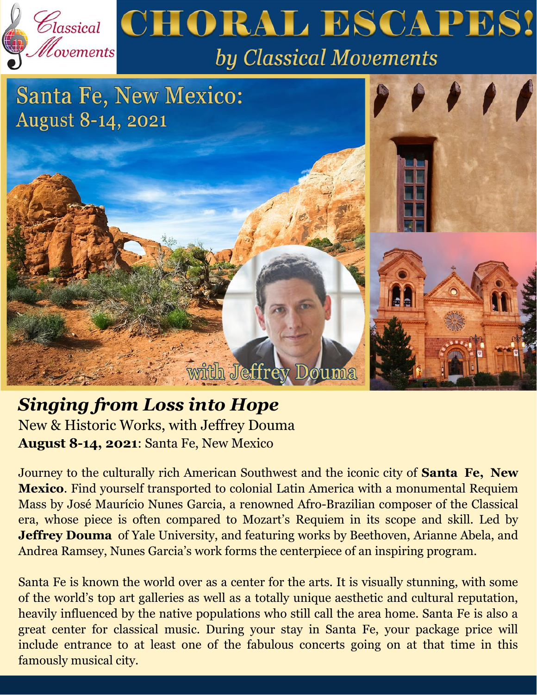

## *Singing from Loss into Hope*  New & Historic Works, with Jeffrey Douma **August 8-14, 2021**: Santa Fe, New Mexico

Journey to the culturally rich American Southwest and the iconic city of **Santa Fe, New Mexico**. Find yourself transported to colonial Latin America with a monumental Requiem Mass by José Maurício Nunes Garcia, a renowned Afro-Brazilian composer of the Classical era, whose piece is often compared to Mozart's Requiem in its scope and skill. Led by **Jeffrey Douma** of Yale University, and featuring works by Beethoven, Arianne Abela, and Andrea Ramsey, Nunes Garcia's work forms the centerpiece of an inspiring program.

Santa Fe is known the world over as a center for the arts. It is visually stunning, with some of the world's top art galleries as well as a totally unique aesthetic and cultural reputation, heavily influenced by the native populations who still call the area home. Santa Fe is also a great center for classical music. During your stay in Santa Fe, your package price will include entrance to at least one of the fabulous concerts going on at that time in this famously musical city.